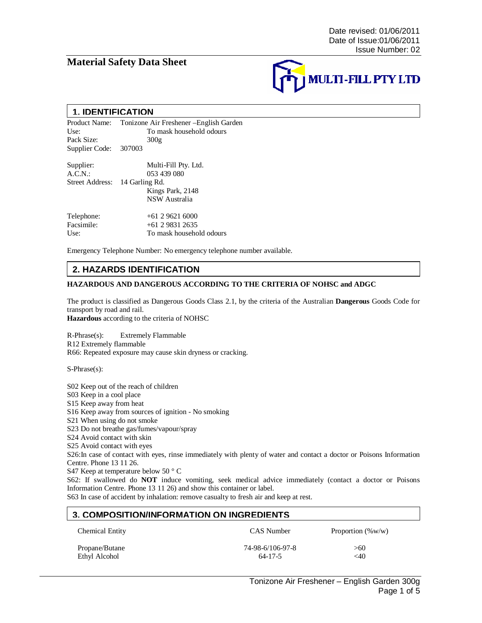## **Material Safety Data Sheet**



#### **1. IDENTIFICATION**

Product Name: Tonizone Air Freshener –English Garden Use: To mask household odours<br>Pack Size:  $300g$ Pack Size: Supplier Code: 307003

Supplier: Multi-Fill Pty. Ltd. A.C.N.: 053 439 080 Street Address: 14 Garling Rd. Kings Park, 2148 NSW Australia Telephone: +61 2 9621 6000<br>Facsimile: +61 2 9831 2635  $+61$  2 9831 2635

Use: To mask household odours

Emergency Telephone Number: No emergency telephone number available.

## **2. HAZARDS IDENTIFICATION**

#### **HAZARDOUS AND DANGEROUS ACCORDING TO THE CRITERIA OF NOHSC and ADGC**

The product is classified as Dangerous Goods Class 2.1, by the criteria of the Australian **Dangerous** Goods Code for transport by road and rail.

**Hazardous** according to the criteria of NOHSC

R-Phrase(s): Extremely Flammable R12 Extremely flammable R66: Repeated exposure may cause skin dryness or cracking.

S-Phrase(s):

S02 Keep out of the reach of children

S03 Keep in a cool place

S15 Keep away from heat

S16 Keep away from sources of ignition - No smoking

S21 When using do not smoke

S23 Do not breathe gas/fumes/vapour/spray

S24 Avoid contact with skin

S25 Avoid contact with eyes

S26:In case of contact with eyes, rinse immediately with plenty of water and contact a doctor or Poisons Information Centre. Phone 13 11 26.

S47 Keep at temperature below 50 ° C

S62: If swallowed do **NOT** induce vomiting, seek medical advice immediately (contact a doctor or Poisons Information Centre. Phone 13 11 26) and show this container or label.

S63 In case of accident by inhalation: remove casualty to fresh air and keep at rest.

# Chemical Entity CAS Number Proportion (%w/w) Propane/Butane 74-98-6/106-97-8 >60 Ethyl Alcohol  $64-17-5$   $\leq 40$ **3. COMPOSITION/INFORMATION ON INGREDIENTS**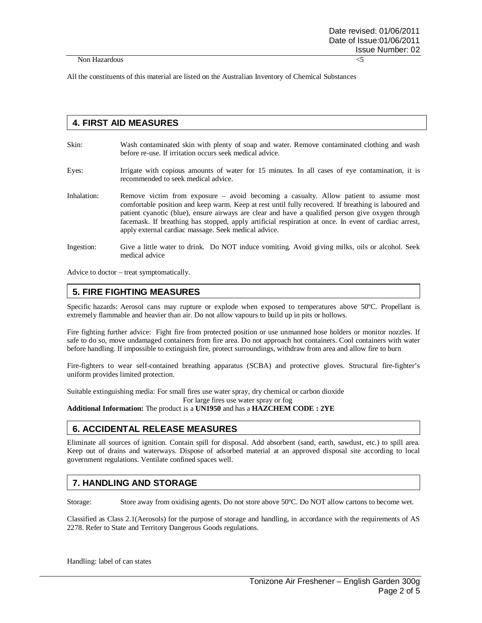All the constituents of this material are listed on the Australian Inventory of Chemical Substances

## **4. FIRST AID MEASURES**

- Skin: Wash contaminated skin with plenty of soap and water. Remove contaminated clothing and wash before re-use. If irritation occurs seek medical advice.
- Eyes: Irrigate with copious amounts of water for 15 minutes. In all cases of eye contamination, it is recommended to seek medical advice.
- Inhalation: Remove victim from exposure avoid becoming a casualty. Allow patient to assume most comfortable position and keep warm. Keep at rest until fully recovered. If breathing is laboured and patient cyanotic (blue), ensure airways are clear and have a qualified person give oxygen through facemask. If breathing has stopped, apply artificial respiration at once. In event of cardiac arrest, apply external cardiac massage. Seek medical advice.
- Ingestion: Give a little water to drink. Do NOT induce vomiting. Avoid giving milks, oils or alcohol. Seek medical advice

Advice to doctor – treat symptomatically.

#### **5. FIRE FIGHTING MEASURES**

Specific hazards: Aerosol cans may rupture or explode when exposed to temperatures above 50ºC. Propellant is extremely flammable and heavier than air. Do not allow vapours to build up in pits or hollows.

Fire fighting further advice: Fight fire from protected position or use unmanned hose holders or monitor nozzles. If safe to do so, move undamaged containers from fire area. Do not approach hot containers. Cool containers with water before handling. If impossible to extinguish fire, protect surroundings, withdraw from area and allow fire to burn

Fire-fighters to wear self-contained breathing apparatus (SCBA) and protective gloves. Structural fire-fighter's uniform provides limited protection.

Suitable extinguishing media: For small fires use water spray, dry chemical or carbon dioxide

For large fires use water spray or fog

**Additional Information:** The product is a **UN1950** and has a **HAZCHEM CODE : 2YE**

## **6. ACCIDENTAL RELEASE MEASURES**

Eliminate all sources of ignition. Contain spill for disposal. Add absorbent (sand, earth, sawdust, etc.) to spill area. Keep out of drains and waterways. Dispose of adsorbed material at an approved disposal site according to local government regulations. Ventilate confined spaces well.

#### **7. HANDLING AND STORAGE**

Storage: Store away from oxidising agents. Do not store above 50ºC. Do NOT allow cartons to become wet.

Classified as Class 2.1(Aerosols) for the purpose of storage and handling, in accordance with the requirements of AS 2278. Refer to State and Territory Dangerous Goods regulations.

Handling: label of can states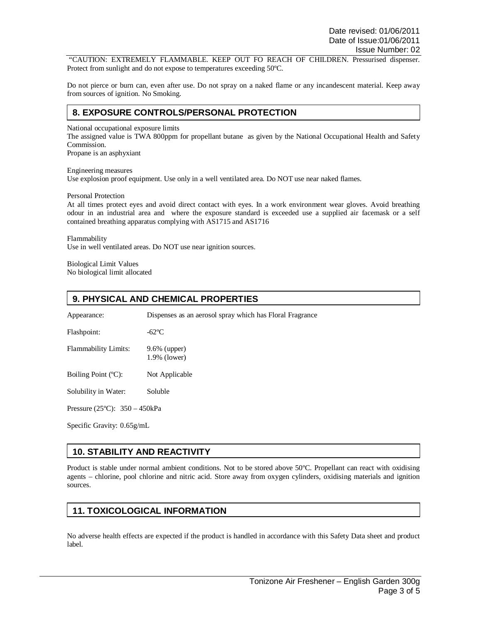"CAUTION: EXTREMELY FLAMMABLE. KEEP OUT FO REACH OF CHILDREN. Pressurised dispenser. Protect from sunlight and do not expose to temperatures exceeding 50ºC.

Do not pierce or burn can, even after use. Do not spray on a naked flame or any incandescent material. Keep away from sources of ignition. No Smoking.

#### **8. EXPOSURE CONTROLS/PERSONAL PROTECTION**

National occupational exposure limits

The assigned value is TWA 800ppm for propellant butane as given by the National Occupational Health and Safety Commission.

Propane is an asphyxiant

Engineering measures Use explosion proof equipment. Use only in a well ventilated area. Do NOT use near naked flames.

Personal Protection

At all times protect eyes and avoid direct contact with eyes. In a work environment wear gloves. Avoid breathing odour in an industrial area and where the exposure standard is exceeded use a supplied air facemask or a self contained breathing apparatus complying with AS1715 and AS1716

Flammability Use in well ventilated areas. Do NOT use near ignition sources.

Biological Limit Values No biological limit allocated

## **9. PHYSICAL AND CHEMICAL PROPERTIES**

Appearance: Dispenses as an aerosol spray which has Floral Fragrance

Flashpoint: -62°C

Flammability Limits: 9.6% (upper) 1.9% (lower)

Boiling Point (°C): Not Applicable

Solubility in Water: Soluble

Pressure (25ºC): 350 – 450kPa

Specific Gravity: 0.65g/mL

# **10. STABILITY AND REACTIVITY**

Product is stable under normal ambient conditions. Not to be stored above 50ºC. Propellant can react with oxidising agents – chlorine, pool chlorine and nitric acid. Store away from oxygen cylinders, oxidising materials and ignition sources.

## **11. TOXICOLOGICAL INFORMATION**

No adverse health effects are expected if the product is handled in accordance with this Safety Data sheet and product label.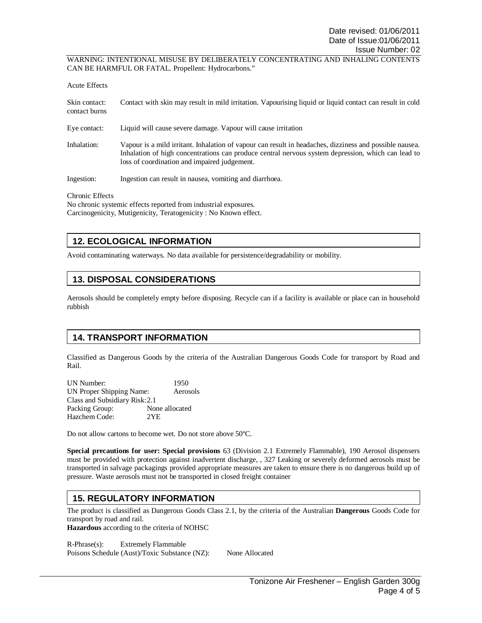WARNING: INTENTIONAL MISUSE BY DELIBERATELY CONCENTRATING AND INHALING CONTENTS CAN BE HARMFUL OR FATAL. Propellent: Hydrocarbons."

| Acute Effects                  |                                                                                                                                                                                                                                                               |
|--------------------------------|---------------------------------------------------------------------------------------------------------------------------------------------------------------------------------------------------------------------------------------------------------------|
| Skin contact:<br>contact burns | Contact with skin may result in mild irritation. Vapourising liquid or liquid contact can result in cold                                                                                                                                                      |
| Eye contact:                   | Liquid will cause severe damage. Vapour will cause irritation                                                                                                                                                                                                 |
| Inhalation:                    | Vapour is a mild irritant. Inhalation of vapour can result in headaches, dizziness and possible nausea.<br>Inhalation of high concentrations can produce central nervous system depression, which can lead to<br>loss of coordination and impaired judgement. |
| Ingestion:                     | Ingestion can result in nausea, vomiting and diarrhoea.                                                                                                                                                                                                       |

Chronic Effects

No chronic systemic effects reported from industrial exposures. Carcinogenicity, Mutigenicity, Teratogenicity : No Known effect.

# **12. ECOLOGICAL INFORMATION**

Avoid contaminating waterways. No data available for persistence/degradability or mobility.

## **13. DISPOSAL CONSIDERATIONS**

Aerosols should be completely empty before disposing. Recycle can if a facility is available or place can in household rubbish

# **14. TRANSPORT INFORMATION**

Classified as Dangerous Goods by the criteria of the Australian Dangerous Goods Code for transport by Road and Rail.

UN Number: 1950 UN Proper Shipping Name: Aerosols Class and Subsidiary Risk: 2.1 Packing Group: None allocated Hazchem Code: 2YE

Do not allow cartons to become wet. Do not store above 50ºC.

**Special precautions for user: Special provisions** 63 (Division 2.1 Extremely Flammable), 190 Aerosol dispensers must be provided with protection against inadvertent discharge, , 327 Leaking or severely deformed aerosols must be transported in salvage packagings provided appropriate measures are taken to ensure there is no dangerous build up of pressure. Waste aerosols must not be transported in closed freight container

## **15. REGULATORY INFORMATION**

The product is classified as Dangerous Goods Class 2.1, by the criteria of the Australian **Dangerous** Goods Code for transport by road and rail.

**Hazardous** according to the criteria of NOHSC

R-Phrase(s): Extremely Flammable Poisons Schedule (Aust)/Toxic Substance (NZ): None Allocated